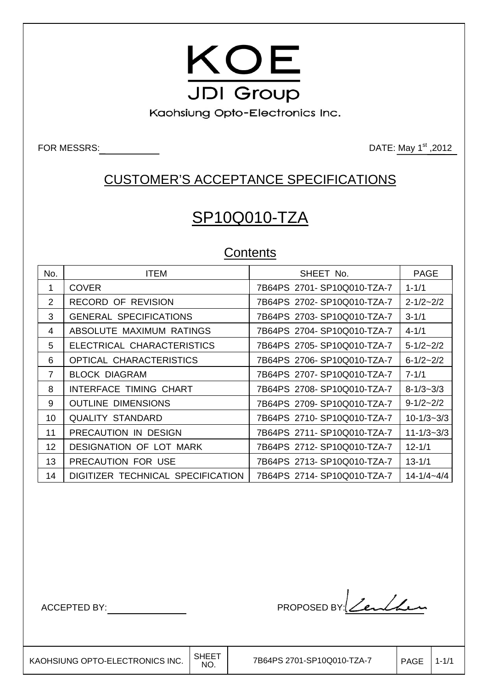

Kaohsiung Opto-Electronics Inc.

FOR MESSRS: DATE: May 1st ,2012

# CUSTOMER'S ACCEPTANCE SPECIFICATIONS

# SP10Q010-TZA

## **Contents**

| No.             | <b>ITEM</b>                       | SHEET No.                  | <b>PAGE</b>      |
|-----------------|-----------------------------------|----------------------------|------------------|
| $\mathbf 1$     | <b>COVER</b>                      | 7B64PS 2701-SP10Q010-TZA-7 | $1 - 1/1$        |
| 2               | RECORD OF REVISION                | 7B64PS 2702-SP10Q010-TZA-7 | $2 - 1/2 - 2/2$  |
| 3               | <b>GENERAL SPECIFICATIONS</b>     | 7B64PS 2703-SP10Q010-TZA-7 | $3 - 1/1$        |
| 4               | ABSOLUTE MAXIMUM RATINGS          | 7B64PS 2704-SP10Q010-TZA-7 | $4 - 1/1$        |
| 5               | ELECTRICAL CHARACTERISTICS        | 7B64PS 2705-SP10Q010-TZA-7 | $5 - 1/2 - 2/2$  |
| 6               | OPTICAL CHARACTERISTICS           | 7B64PS 2706-SP10Q010-TZA-7 | $6 - 1/2 - 2/2$  |
| $\overline{7}$  | <b>BLOCK DIAGRAM</b>              | 7B64PS 2707-SP10Q010-TZA-7 | $7 - 1/1$        |
| 8               | <b>INTERFACE TIMING CHART</b>     | 7B64PS 2708-SP10Q010-TZA-7 | $8 - 1/3 - 3/3$  |
| 9               | <b>OUTLINE DIMENSIONS</b>         | 7B64PS 2709-SP10Q010-TZA-7 | $9-1/2-2/2$      |
| 10              | <b>QUALITY STANDARD</b>           | 7B64PS 2710-SP10Q010-TZA-7 | $10 - 1/3 - 3/3$ |
| 11              | PRECAUTION IN DESIGN              | 7B64PS 2711-SP10Q010-TZA-7 | $11 - 1/3 - 3/3$ |
| 12 <sup>2</sup> | <b>DESIGNATION OF LOT MARK</b>    | 7B64PS 2712-SP10Q010-TZA-7 | $12 - 1/1$       |
| 13              | PRECAUTION FOR USE                | 7B64PS 2713-SP10Q010-TZA-7 | $13 - 1/1$       |
| 14              | DIGITIZER TECHNICAL SPECIFICATION | 7B64PS 2714-SP10Q010-TZA-7 | $14 - 1/4 - 4/4$ |

├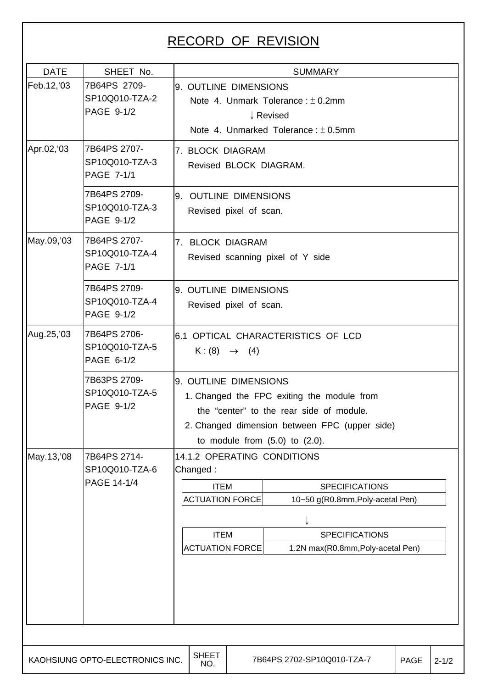# RECORD OF REVISION

| <b>DATE</b> | SHEET No.                                           |                                                                                                                                                                                                         | <b>SUMMARY</b>                                                                                                         |                                                                                                                                                        |             |           |  |  |  |
|-------------|-----------------------------------------------------|---------------------------------------------------------------------------------------------------------------------------------------------------------------------------------------------------------|------------------------------------------------------------------------------------------------------------------------|--------------------------------------------------------------------------------------------------------------------------------------------------------|-------------|-----------|--|--|--|
| Feb.12,'03  | 7B64PS 2709-<br>SP10Q010-TZA-2<br>PAGE 9-1/2        |                                                                                                                                                                                                         | 9. OUTLINE DIMENSIONS<br>Note 4. Unmark Tolerance: $\pm$ 0.2mm<br>↓ Revised<br>Note 4. Unmarked Tolerance: $\pm$ 0.5mm |                                                                                                                                                        |             |           |  |  |  |
| Apr.02,'03  | 7B64PS 2707-<br>SP10Q010-TZA-3<br><b>PAGE 7-1/1</b> |                                                                                                                                                                                                         | 7. BLOCK DIAGRAM<br>Revised BLOCK DIAGRAM.                                                                             |                                                                                                                                                        |             |           |  |  |  |
|             | 7B64PS 2709-<br>SP10Q010-TZA-3<br>PAGE 9-1/2        |                                                                                                                                                                                                         | 9. OUTLINE DIMENSIONS<br>Revised pixel of scan.                                                                        |                                                                                                                                                        |             |           |  |  |  |
| May.09,'03  | 7B64PS 2707-<br>SP10Q010-TZA-4<br><b>PAGE 7-1/1</b> |                                                                                                                                                                                                         | 7. BLOCK DIAGRAM<br>Revised scanning pixel of Y side                                                                   |                                                                                                                                                        |             |           |  |  |  |
|             | 7B64PS 2709-<br>SP10Q010-TZA-4<br>PAGE 9-1/2        |                                                                                                                                                                                                         | 9. OUTLINE DIMENSIONS<br>Revised pixel of scan.                                                                        |                                                                                                                                                        |             |           |  |  |  |
| Aug.25,'03  | 7B64PS 2706-<br>SP10Q010-TZA-5<br>PAGE 6-1/2        | 6.1 OPTICAL CHARACTERISTICS OF LCD<br>$K:(8) \rightarrow (4)$                                                                                                                                           |                                                                                                                        |                                                                                                                                                        |             |           |  |  |  |
|             | 7B63PS 2709-<br>SP10Q010-TZA-5<br>PAGE 9-1/2        | 9. OUTLINE DIMENSIONS<br>1. Changed the FPC exiting the module from<br>the "center" to the rear side of module.<br>2. Changed dimension between FPC (upper side)<br>to module from $(5.0)$ to $(2.0)$ . |                                                                                                                        |                                                                                                                                                        |             |           |  |  |  |
| May.13,'08  | 7B64PS 2714-<br>SP10Q010-TZA-6<br>PAGE 14-1/4       | Changed:<br><b>ITEM</b><br><b>ACTUATION FORCE</b><br><b>ITEM</b><br><b>ACTUATION FORCE</b>                                                                                                              |                                                                                                                        | 14.1.2 OPERATING CONDITIONS<br><b>SPECIFICATIONS</b><br>10~50 g(R0.8mm, Poly-acetal Pen)<br><b>SPECIFICATIONS</b><br>1.2N max(R0.8mm, Poly-acetal Pen) |             |           |  |  |  |
|             |                                                     |                                                                                                                                                                                                         |                                                                                                                        |                                                                                                                                                        |             |           |  |  |  |
|             | KAOHSIUNG OPTO-ELECTRONICS INC.                     | <b>SHEET</b><br>NO.                                                                                                                                                                                     |                                                                                                                        | 7B64PS 2702-SP10Q010-TZA-7                                                                                                                             | <b>PAGE</b> | $2 - 1/2$ |  |  |  |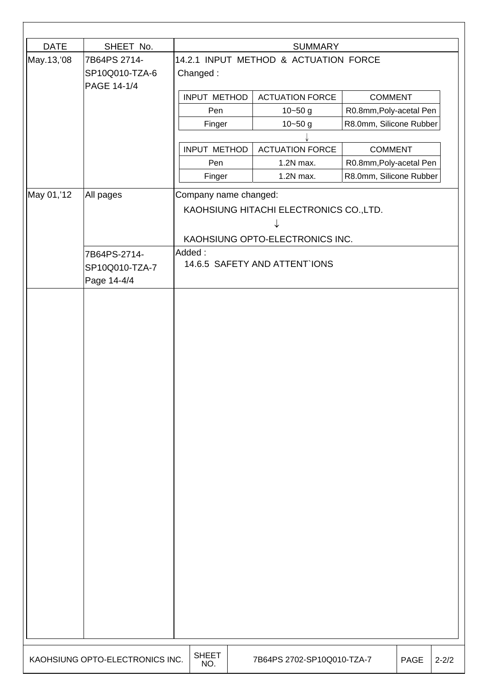| <b>DATE</b> | SHEET No.                       |                       | <b>SUMMARY</b>                          |                         |      |           |
|-------------|---------------------------------|-----------------------|-----------------------------------------|-------------------------|------|-----------|
| May.13,'08  | 7B64PS 2714-                    |                       | 14.2.1 INPUT METHOD & ACTUATION FORCE   |                         |      |           |
|             | SP10Q010-TZA-6                  | Changed:              |                                         |                         |      |           |
|             | PAGE 14-1/4                     |                       |                                         |                         |      |           |
|             |                                 | INPUT METHOD          | <b>ACTUATION FORCE</b>                  | <b>COMMENT</b>          |      |           |
|             |                                 | Pen                   | $10 - 50$ g                             | R0.8mm, Poly-acetal Pen |      |           |
|             |                                 | Finger                | $10 - 50$ g                             | R8.0mm, Silicone Rubber |      |           |
|             |                                 |                       |                                         |                         |      |           |
|             |                                 | INPUT METHOD          | <b>ACTUATION FORCE</b>                  | <b>COMMENT</b>          |      |           |
|             |                                 | Pen                   | 1.2N max.                               | R0.8mm, Poly-acetal Pen |      |           |
|             |                                 | Finger                | 1.2N max.                               | R8.0mm, Silicone Rubber |      |           |
| May 01,'12  | All pages                       | Company name changed: |                                         |                         |      |           |
|             |                                 |                       | KAOHSIUNG HITACHI ELECTRONICS CO., LTD. |                         |      |           |
|             |                                 |                       |                                         |                         |      |           |
|             |                                 |                       |                                         |                         |      |           |
|             |                                 |                       | KAOHSIUNG OPTO-ELECTRONICS INC.         |                         |      |           |
|             | 7B64PS-2714-                    | Added:                | 14.6.5 SAFETY AND ATTENT IONS           |                         |      |           |
|             | SP10Q010-TZA-7                  |                       |                                         |                         |      |           |
|             | Page 14-4/4                     |                       |                                         |                         |      |           |
|             |                                 |                       |                                         |                         |      |           |
|             |                                 |                       |                                         |                         |      |           |
|             |                                 |                       |                                         |                         |      |           |
|             |                                 |                       |                                         |                         |      |           |
|             |                                 |                       |                                         |                         |      |           |
|             |                                 |                       |                                         |                         |      |           |
|             |                                 |                       |                                         |                         |      |           |
|             |                                 |                       |                                         |                         |      |           |
|             |                                 |                       |                                         |                         |      |           |
|             |                                 |                       |                                         |                         |      |           |
|             |                                 |                       |                                         |                         |      |           |
|             |                                 |                       |                                         |                         |      |           |
|             |                                 |                       |                                         |                         |      |           |
|             |                                 |                       |                                         |                         |      |           |
|             |                                 |                       |                                         |                         |      |           |
|             |                                 |                       |                                         |                         |      |           |
|             |                                 |                       |                                         |                         |      |           |
|             |                                 |                       |                                         |                         |      |           |
|             |                                 |                       |                                         |                         |      |           |
|             |                                 |                       |                                         |                         |      |           |
|             |                                 |                       |                                         |                         |      |           |
|             |                                 |                       |                                         |                         |      |           |
|             |                                 |                       |                                         |                         |      |           |
|             |                                 |                       |                                         |                         |      |           |
|             |                                 |                       |                                         |                         |      |           |
|             |                                 |                       |                                         |                         |      |           |
|             |                                 |                       |                                         |                         |      |           |
|             | KAOHSIUNG OPTO-ELECTRONICS INC. | <b>SHEET</b><br>NO.   | 7B64PS 2702-SP10Q010-TZA-7              |                         | PAGE | $2 - 2/2$ |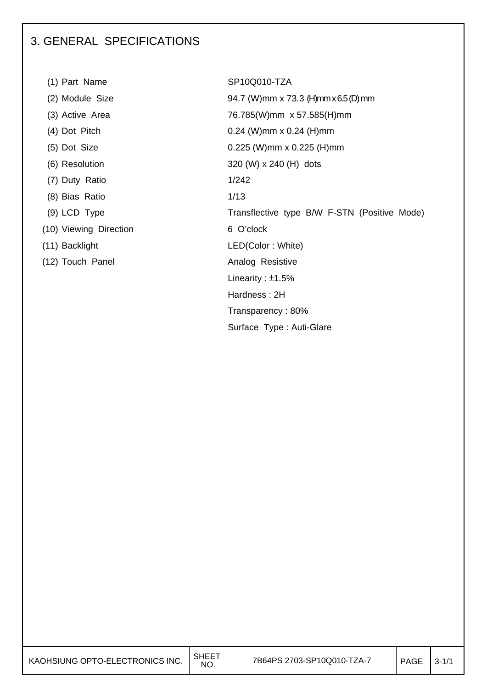## 3. GENERAL SPECIFICATIONS

| (1) Part Name          | SP10Q010-TZA                      |
|------------------------|-----------------------------------|
| (2) Module Size        | 94.7 (W) mm x 73.3                |
| (3) Active Area        | 76.785(W)mm x 57                  |
| (4) Dot Pitch          | $0.24$ (W)mm x 0.24               |
| (5) Dot Size           | $0.225$ (W)mm x 0.2               |
| (6) Resolution         | 320 (W) $\times$ 240 (H) $\times$ |
| (7) Duty Ratio         | 1/242                             |
| (8) Bias Ratio         | 1/13                              |
| $(9)$ LCD Type         | Transflective type                |
| (10) Viewing Direction | 6 O'clock                         |
| (11) Backlight         | LED(Color: White)                 |
| (12) Touch Panel       | Analog Resistive                  |

SP10Q010-TZA 94.7 (W)mm x 73.3 (H)mm x 6.5 (D) mm 76.785(W)mm x 57.585(H)mm  $0.24$  (W)mm x  $0.24$  (H)mm  $0.225$  (W)mm x 0.225 (H)mm 320 (W) x 240 (H) dots  $1/242$ Transflective type B/W F-STN (Positive Mode) (12) Touch Panel **Analog Resistive** Linearity : ±1.5% Hardness : 2H Transparency : 80% Surface Type : Auti-Glare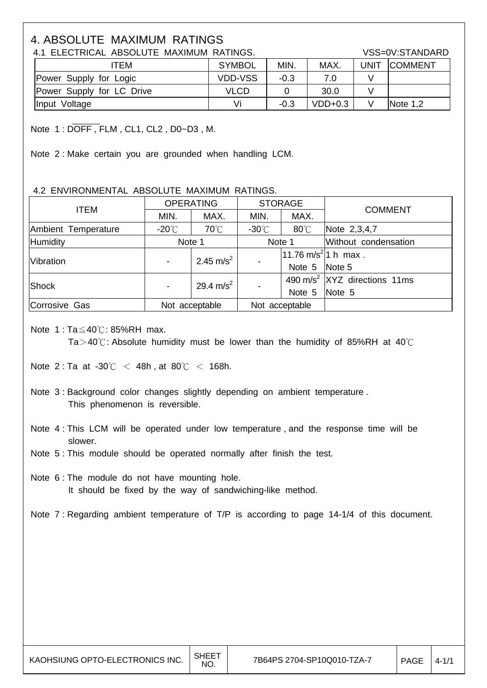## 4. ABSOLUTE MAXIMUM RATINGS

4.1 ELECTRICAL ABSOLUTE MAXIMUM RATINGS. VSS=0V:STANDARD

| ITEM                      | <b>SYMBOL</b>  | <b>MIN</b> | <b>MAX</b> | <b>UNIT</b> | <b>COMMENT</b> |
|---------------------------|----------------|------------|------------|-------------|----------------|
| Power Supply for Logic    | <b>VDD-VSS</b> | $-0.3$     |            |             |                |
| Power Supply for LC Drive | <b>VLCD</b>    |            | 30.0       |             |                |
| Input Voltage             | Vi             | $-0.3$     | $VDD+0.3$  |             | Note $1,2$     |

Note 1 : DOFF , FLM , CL1, CL2 , D0~D3 , M.

Note 2 : Make certain you are grounded when handling LCM.

#### 4.2 ENVIRONMENTAL ABSOLUTE MAXIMUM RATINGS.

| <b>ITEM</b>                               |                  | <b>OPERATING</b>      |                                  | <b>STORAGE</b> | <b>COMMENT</b>                           |
|-------------------------------------------|------------------|-----------------------|----------------------------------|----------------|------------------------------------------|
|                                           | MIN.             | MAX.                  | MIN.                             | MAX.           |                                          |
| Ambient Temperature                       | -20 $^{\circ}$ C | $70^{\circ}$ C        | $-30^{\circ}$ C                  | $80^{\circ}$ C | Note 2,3,4,7                             |
| <b>Humidity</b>                           | Note 1           |                       | Note 1                           |                | Without condensation                     |
| 2.45 m/s <sup>2</sup><br><b>Vibration</b> |                  |                       | 11.76 m/s <sup>2</sup>  1 h max. |                |                                          |
|                                           |                  |                       |                                  | Note 5 Note 5  |                                          |
| Shock                                     |                  | 29.4 m/s <sup>2</sup> |                                  |                | 490 m/s <sup>2</sup> XYZ directions 11ms |
|                                           |                  | $\blacksquare$        |                                  | Note 5 Note 5  |                                          |
| Corrosive Gas                             |                  | Not acceptable        |                                  | Not acceptable |                                          |

Note 1 : Ta≦40℃: 85%RH max.

Ta>40℃: Absolute humidity must be lower than the humidity of 85%RH at 40℃

Note 2 : Ta at -30℃ < 48h , at 80℃ < 168h.

- Note 3 : Background color changes slightly depending on ambient temperature . This phenomenon is reversible.
- Note 4 : This LCM will be operated under low temperature , and the response time will be slower.

Note 5 : This module should be operated normally after finish the test.

 Note 6 : The module do not have mounting hole. It should be fixed by the way of sandwiching-like method.

Note 7 : Regarding ambient temperature of T/P is according to page 14-1/4 of this document.

 $\overline{\phantom{a}}$ 

 $\overline{\phantom{a}}$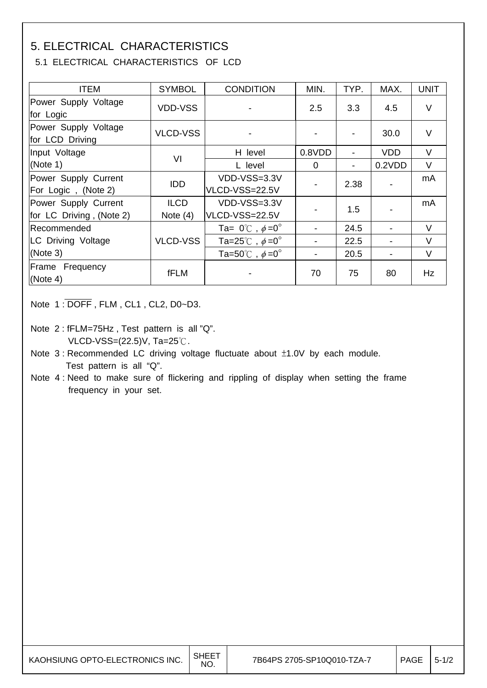## 5. ELECTRICAL CHARACTERISTICS

## 5.1 ELECTRICAL CHARACTERISTICS OF LCD

| <b>ITEM</b>                                      | <b>SYMBOL</b>             | <b>CONDITION</b>                       | MIN.   | TYP. | MAX.       | <b>UNIT</b> |
|--------------------------------------------------|---------------------------|----------------------------------------|--------|------|------------|-------------|
| Power Supply Voltage<br>for Logic                | <b>VDD-VSS</b>            |                                        | 2.5    | 3.3  | 4.5        | $\vee$      |
| Power Supply Voltage<br>for LCD Driving          | <b>VLCD-VSS</b>           |                                        |        |      | 30.0       | $\vee$      |
| Input Voltage                                    | VI                        | H level                                | 0.8VDD |      | <b>VDD</b> | V           |
| (Note 1)                                         |                           | L level                                | 0      |      | 0.2VDD     | $\vee$      |
| Power Supply Current<br>For Logic, (Note 2)      | <b>IDD</b>                | VDD-VSS=3.3V<br>VLCD-VSS=22.5V         |        | 2.38 |            | mA          |
| Power Supply Current<br>for LC Driving, (Note 2) | <b>ILCD</b><br>Note $(4)$ | VDD-VSS=3.3V<br>VLCD-VSS=22.5V         |        | 1.5  |            | mA          |
| Recommended                                      |                           | Ta= $0^{\circ}$ C, $\phi = 0^{\circ}$  |        | 24.5 |            | V           |
| <b>LC Driving Voltage</b>                        | VLCD-VSS                  | Ta=25°C, $\phi = 0^{\circ}$            |        | 22.5 |            | V           |
| (Note 3)                                         |                           | Ta=50 $\degree$ C, $\phi$ =0 $\degree$ |        | 20.5 |            | $\vee$      |
| Frame Frequency<br>(Note 4)                      | fFLM                      |                                        | 70     | 75   | 80         | <b>Hz</b>   |

Note 1 : DOFF , FLM , CL1 , CL2, D0~D3.

Note 2 : fFLM=75Hz , Test pattern is all "Q". VLCD-VSS=(22.5)V, Ta=25℃.

 Note 3 : Recommended LC driving voltage fluctuate about ±1.0V by each module. Test pattern is all "Q".

 Note 4 : Need to make sure of flickering and rippling of display when setting the frame frequency in your set.

| NO. | KAOHSIUNG OPTO-ELECTRONICS INC. | , SHEET | 7B64PS 2705-SP10Q010-TZA-7 | <b>PAGE</b> | $5 - 1/2$ |
|-----|---------------------------------|---------|----------------------------|-------------|-----------|
|-----|---------------------------------|---------|----------------------------|-------------|-----------|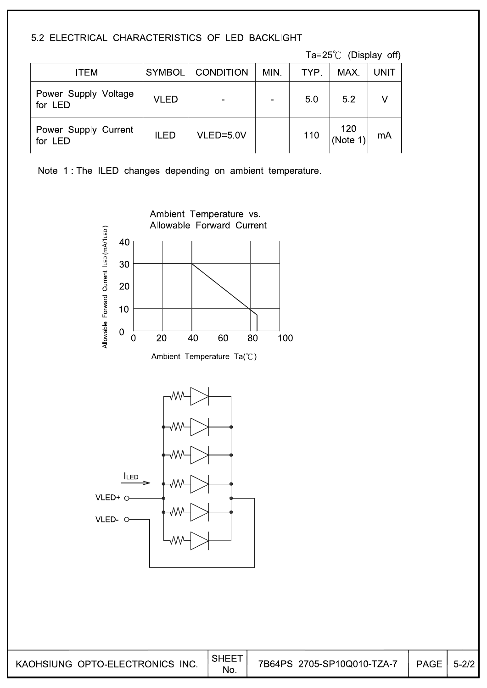## 5.2 ELECTRICAL CHARACTERISTICS OF LED BACKLIGHT

Ta=25 $^{\circ}$ C (Display off)

| ITEM                            | <b>SYMBOL</b> | <b>CONDITION</b> | MIN.           | TYP. | MAX.           | <b>UNIT</b> |
|---------------------------------|---------------|------------------|----------------|------|----------------|-------------|
| Power Supply Voltage<br>for LED | <b>VLED</b>   |                  | $\blacksquare$ | 50   | 5.2            |             |
| Power Supply Current<br>for LED | <b>ILED</b>   | VLED=5.0V        | $\blacksquare$ | 110  | 120<br>(Note 1 | mA          |

Note 1: The ILED changes depending on ambient temperature.

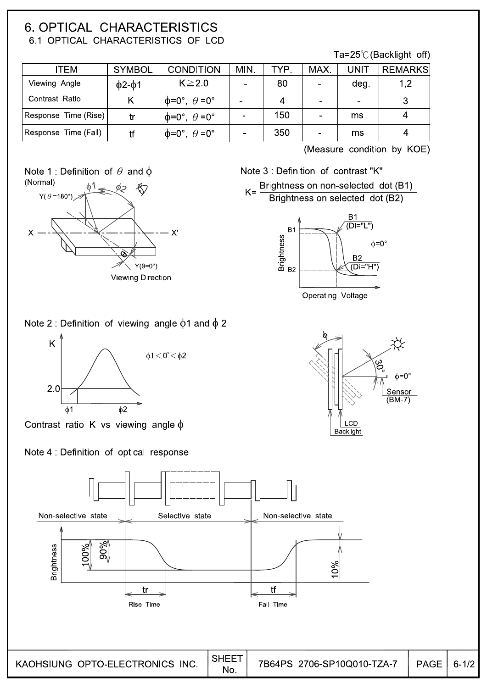## **6. OPTICAL CHARACTERISTICS** 6.1 OPTICAL CHARACTERISTICS OF LCD

Ta=25 $\degree$ C (Backlight off)

| ITEM                 | <b>SYMBOL</b>      | <b>CONDITION</b>                      | MIN.           | TYP. | MAX.           | UNIT           | <b>REMARKS</b> |
|----------------------|--------------------|---------------------------------------|----------------|------|----------------|----------------|----------------|
| Viewing Angle        | $\phi$ 2- $\phi$ 1 | $K \geq 2.0$                          |                | 80   | $\blacksquare$ | deg.           | 1,2            |
| Contrast Ratio       |                    | $\phi = 0^\circ$ , $\theta = 0^\circ$ |                | 4    | $\blacksquare$ | $\blacksquare$ |                |
| Response Time (Rise) | tr                 | $\phi = 0^\circ$ , $\theta = 0^\circ$ | $\blacksquare$ | 150  | $\blacksquare$ | ms             |                |
| Response Time (Fall) | tf                 | $\phi = 0^\circ$ , $\theta = 0^\circ$ | $\blacksquare$ | 350  | $\blacksquare$ | ms             |                |

(Measure condition by KOE)







Note 3 : Definition of contrast "K"



### Note 2 : Definition of viewing angle  $\phi$ 1 and  $\phi$  2



Contrast ratio K vs viewing angle  $\phi$ 

### Note 4 : Definition of optical response



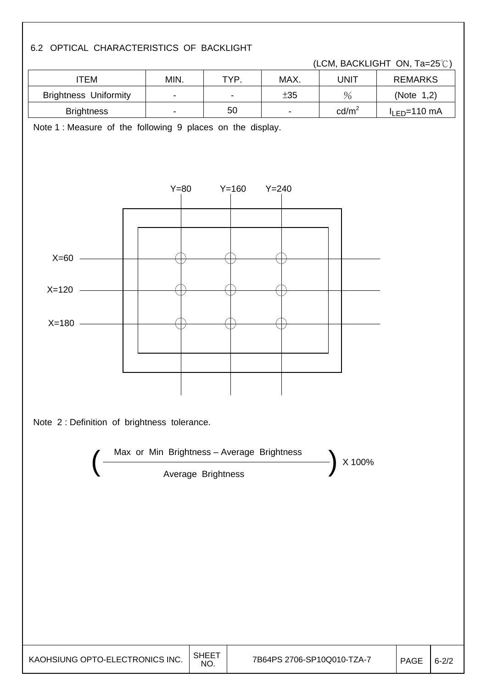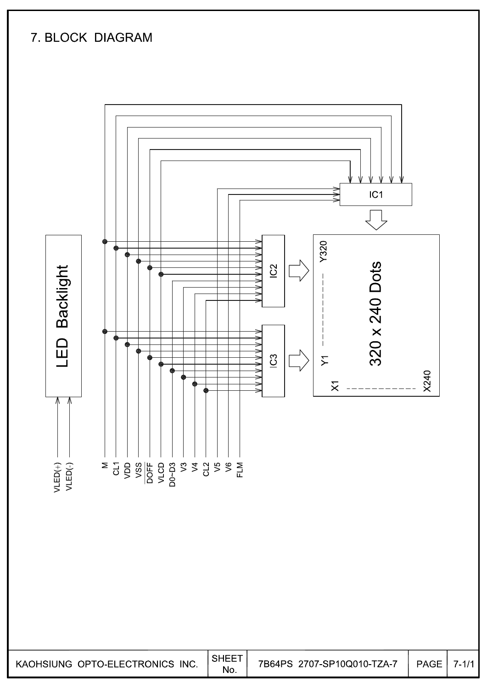# 7. BLOCK DIAGRAM



 $7 - 1/1$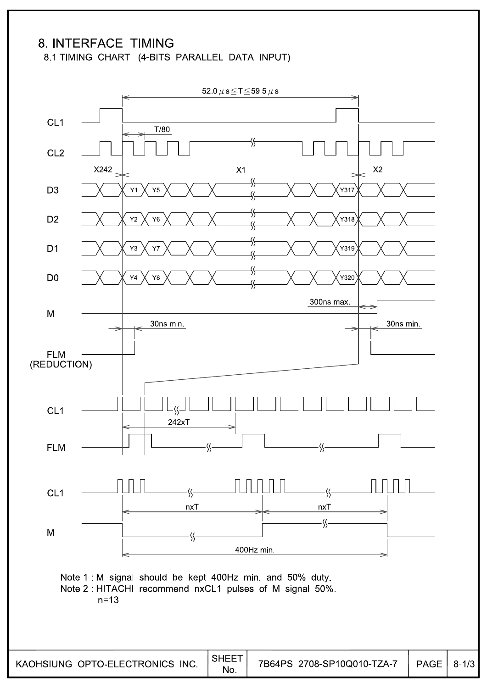## 8. INTERFACE TIMING

8.1 TIMING CHART (4-BITS PARALLEL DATA INPUT)

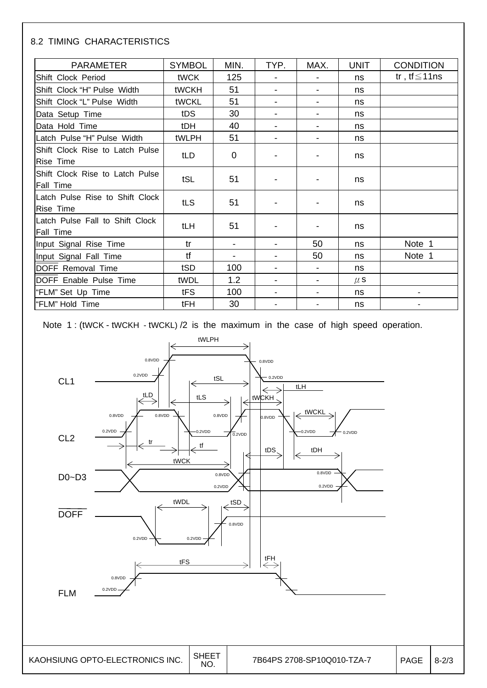#### 8.2 TIMING CHARACTERISTICS

| <b>PARAMETER</b>                                    | <b>SYMBOL</b> | MIN.        | TYP.                     | MAX. | <b>UNIT</b> | <b>CONDITION</b>   |
|-----------------------------------------------------|---------------|-------------|--------------------------|------|-------------|--------------------|
| Shift Clock Period                                  | tWCK          | 125         |                          |      | ns          | tr, tf $\leq$ 11ns |
| Shift Clock "H" Pulse Width                         | tWCKH         | 51          |                          |      | ns          |                    |
| Shift Clock "L" Pulse Width                         | tWCKL         | 51          |                          | -    | ns          |                    |
| Data Setup Time                                     | tDS           | 30          |                          |      | ns          |                    |
| Data Hold Time                                      | tDH           | 40          | $\blacksquare$           | -    | ns          |                    |
| Latch Pulse "H" Pulse Width                         | tWLPH         | 51          |                          |      | ns          |                    |
| Shift Clock Rise to Latch Pulse<br><b>Rise Time</b> | tLD           | $\mathbf 0$ |                          |      | ns          |                    |
| Shift Clock Rise to Latch Pulse<br><b>Fall Time</b> | tSL           | 51          |                          |      | ns          |                    |
| Latch Pulse Rise to Shift Clock<br><b>Rise Time</b> | tLS           | 51          |                          |      | ns          |                    |
| Latch Pulse Fall to Shift Clock<br><b>Fall Time</b> | tLH           | 51          |                          |      | ns          |                    |
| Input Signal Rise Time                              | tr            |             |                          | 50   | ns          | Note 1             |
| Input Signal Fall Time                              | tf            |             |                          | 50   | ns          | Note 1             |
| tSD<br>DOFF Removal Time                            |               | 100         | $\overline{\phantom{a}}$ |      | ns          |                    |
| DOFF Enable Pulse Time                              | tWDL          | 1.2         |                          |      | $\mu$ S     |                    |
| "FLM" Set Up Time                                   | tFS           | 100         |                          |      | ns          |                    |
| "FLM" Hold Time                                     | tFH           | 30          |                          |      | ns          |                    |

Note 1 : (tWCK - tWCKH - tWCKL) /2 is the maximum in the case of high speed operation.

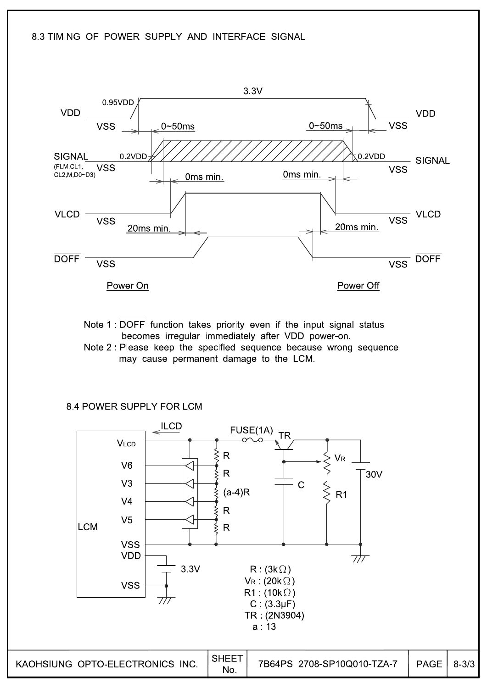

Note 1: DOFF function takes priority even if the input signal status becomes irregular immediately after VDD power-on.

Note 2: Please keep the specified sequence because wrong sequence may cause permanent damage to the LCM.

8.4 POWER SUPPLY FOR LCM

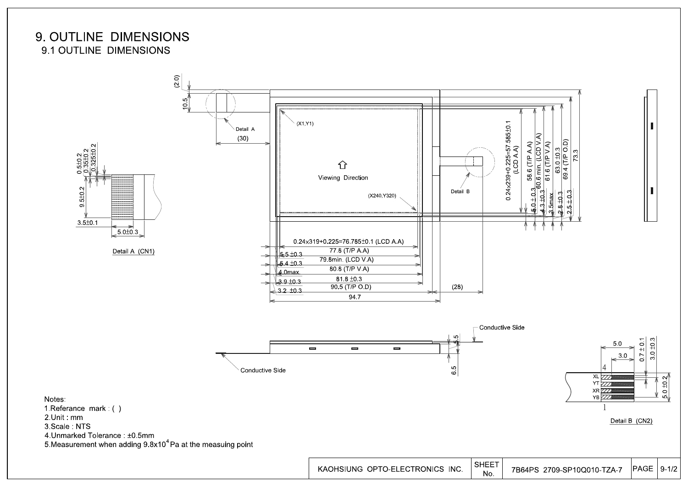## 9. OUTLINE DIMENSIONS 9.1 OUTLINE DIMENSIONS

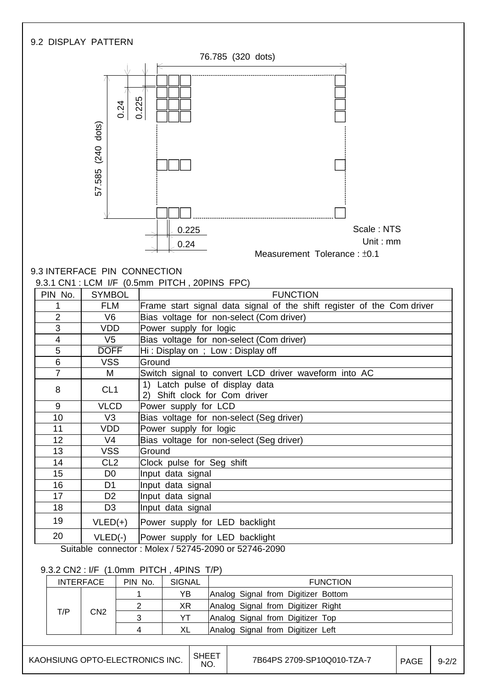

|     | <b>INTERFACE</b> | PIN No. | SIGNAL | <b>FUNCTION</b>                     |
|-----|------------------|---------|--------|-------------------------------------|
|     |                  |         | YΒ     | Analog Signal from Digitizer Bottom |
|     |                  |         | ΧR     | Analog Signal from Digitizer Right  |
| T/P | CN <sub>2</sub>  | າ       | v٦     | Analog Signal from Digitizer Top    |
|     |                  |         | XL     | Analog Signal from Digitizer Left   |

| KAOHSIUNG OPTO-ELECTRONICS INC.   SHEET |  |
|-----------------------------------------|--|
|                                         |  |

SHEET 7B64PS 2709-SP10Q010-TZA-7  $\Big|$  PAGE  $\Big|$  9-2/2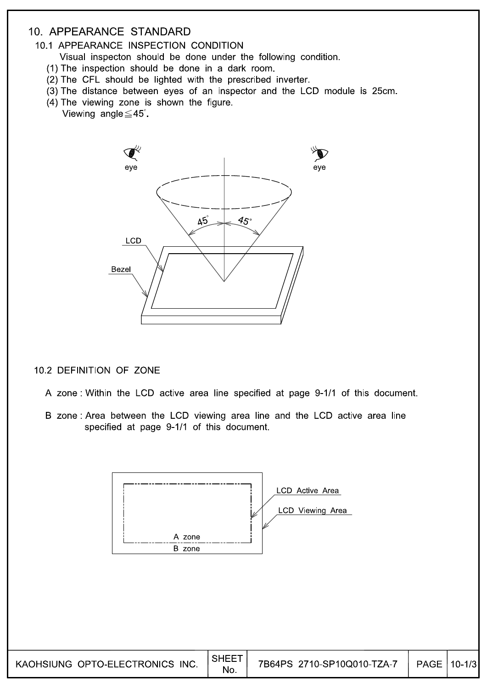## 10. APPEARANCE STANDARD

#### 10.1 APPEARANCE INSPECTION CONDITION

- Visual inspecton should be done under the following condition.
- (1) The inspection should be done in a dark room.
- (2) The CFL should be lighted with the prescribed inverter.
- (3) The distance between eyes of an inspector and the LCD module is 25cm.
- (4) The viewing zone is shown the figure.
	- Viewing angle  $\leq$  45°.



#### 10.2 DEFINITION OF ZONE

- A zone: Within the LCD active area line specified at page 9-1/1 of this document.
- B zone: Area between the LCD viewing area line and the LCD active area line specified at page 9-1/1 of this document.

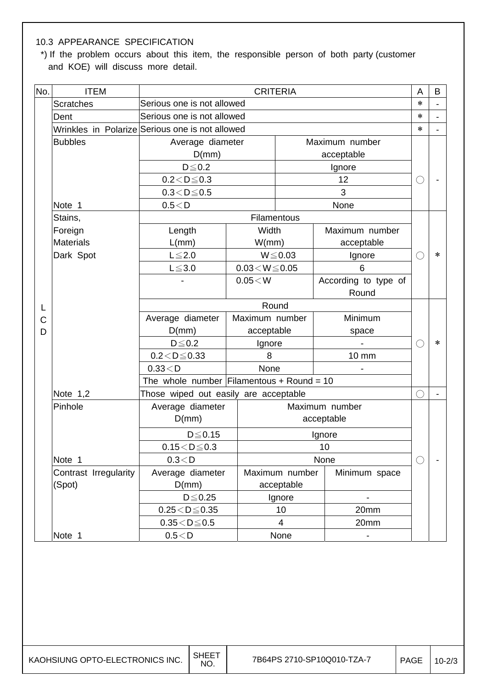### 10.3 APPEARANCE SPECIFICATION

 \*) If the problem occurs about this item, the responsible person of both party (customer and KOE) will discuss more detail.

| No. | <b>ITEM</b>           |                                           | <b>CRITERIA</b>                                 |                |                      | A         | B |
|-----|-----------------------|-------------------------------------------|-------------------------------------------------|----------------|----------------------|-----------|---|
|     | <b>Scratches</b>      |                                           | Serious one is not allowed                      |                | $\ast$               |           |   |
|     | Dent                  |                                           | Serious one is not allowed                      |                |                      | $\ast$    |   |
|     |                       |                                           | Wrinkles in Polarize Serious one is not allowed |                |                      | $\ast$    |   |
|     | <b>Bubbles</b>        | Average diameter                          |                                                 |                | Maximum number       |           |   |
|     |                       | D(mm)                                     |                                                 |                | acceptable           |           |   |
|     |                       | $D \le 0.2$                               |                                                 |                | Ignore               |           |   |
|     |                       | $0.2\!<\!D\!\leq\!0.3$                    |                                                 |                | 12                   | ()        |   |
|     |                       | $0.3 < D \le 0.5$                         |                                                 |                | 3                    |           |   |
|     | Note 1                | 0.5 < D                                   |                                                 |                | None                 |           |   |
|     | Stains,               |                                           |                                                 | Filamentous    |                      |           |   |
|     | Foreign               | Length                                    | Width                                           |                | Maximum number       |           |   |
|     | <b>Materials</b>      | L(mm)                                     | W/mm)                                           |                | acceptable           |           |   |
|     | Dark Spot             | $L \leq 2.0$                              |                                                 | $W \le 0.03$   | Ignore               | $(\quad)$ | ∗ |
|     |                       | $L \le 3.0$                               | $0.03\!<\!W\!\leq\!0.05$                        |                | 6                    |           |   |
|     |                       |                                           | $0.05\!<\!W$                                    |                | According to type of |           |   |
|     |                       |                                           |                                                 |                | Round                |           |   |
|     |                       |                                           | Round                                           |                |                      |           |   |
| Ć   |                       | Average diameter                          | Maximum number                                  |                | Minimum              |           |   |
| D   |                       | D(mm)                                     | acceptable                                      |                | space                |           |   |
|     |                       | $D \leq 0.2$                              | Ignore                                          |                |                      | $(\ )$    | ∗ |
|     |                       | $0.2 < D \le 0.33$                        | 8                                               |                | 10 mm                |           |   |
|     |                       | 0.33 < D                                  | None                                            |                |                      |           |   |
|     |                       | The whole number Filamentous + Round = 10 |                                                 |                |                      |           |   |
|     | Note $1,2$            | Those wiped out easily are acceptable     |                                                 |                |                      | ○         |   |
|     | Pinhole               | Average diameter                          |                                                 |                | Maximum number       |           |   |
|     |                       | D(mm)                                     |                                                 |                | acceptable           |           |   |
|     |                       | $D \leq 0.15$                             |                                                 |                | Ignore               |           |   |
|     |                       | $0.15 < D \le 0.3$                        |                                                 |                | 10                   |           |   |
|     | Note 1                | 0.3 < D                                   |                                                 |                | None                 | O         |   |
|     | Contrast Irregularity | Average diameter                          |                                                 | Maximum number | Minimum space        |           |   |
|     | (Spot)                | D(mm)                                     |                                                 | acceptable     |                      |           |   |
|     |                       | $D \leq 0.25$                             |                                                 | Ignore         |                      |           |   |
|     |                       | $0.25 < D \le 0.35$                       |                                                 | 10             | 20mm                 |           |   |
|     |                       | $0.35\!<\!D\!\leq\!0.5$                   |                                                 | 4              | 20mm                 |           |   |
|     | Note 1                | 0.5 < D                                   |                                                 | None           |                      |           |   |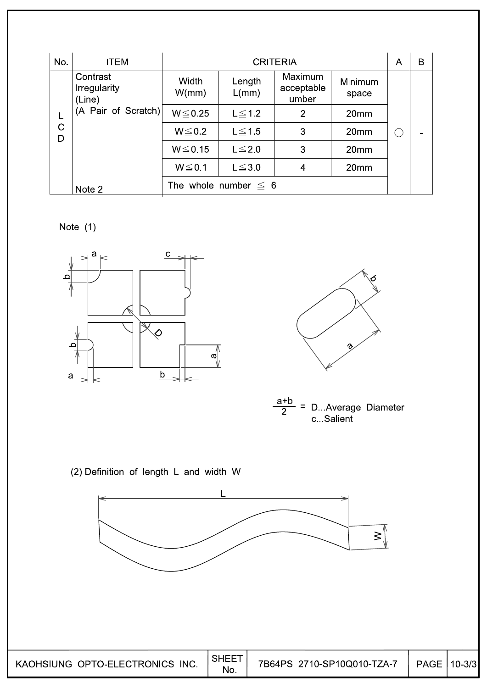| No.    | <b>ITEM</b>                               |                |                           | <b>CRITERIA</b>                |                  | A | B              |
|--------|-------------------------------------------|----------------|---------------------------|--------------------------------|------------------|---|----------------|
|        | Contrast<br><b>Irregularity</b><br>(Line) | Width<br>W/mm) | Length<br>L/mm)           | Maximum<br>acceptable<br>umber | Minimum<br>space |   |                |
| L      | (A Pair of Scratch)                       | $W \le 0.25$   | $L \leq 1.2$              | 2                              | 20 <sub>mm</sub> |   |                |
| C<br>D |                                           | $W \le 0.2$    | $L \leq 1.5$              | 3                              | 20mm             |   | $\blacksquare$ |
|        |                                           | $W \le 0.15$   | $L \leq 2.0$              | 3                              | 20mm             |   |                |
|        |                                           | $W \le 0.1$    | $L \leq 3.0$              | 4                              | 20mm             |   |                |
|        | Note 2                                    |                | The whole number $\leq 6$ |                                |                  |   |                |

Note  $(1)$ 







(2) Definition of length L and width W

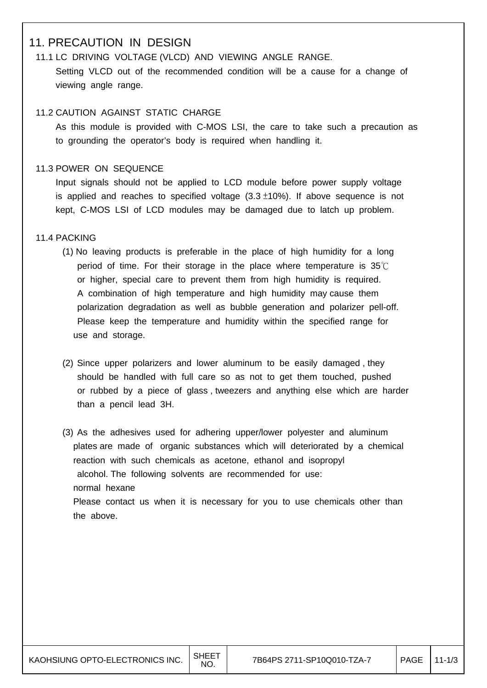## 11. PRECAUTION IN DESIGN

## 11.1 LC DRIVING VOLTAGE (VLCD) AND VIEWING ANGLE RANGE. Setting VLCD out of the recommended condition will be a cause for a change of viewing angle range.

#### 11.2 CAUTION AGAINST STATIC CHARGE

 As this module is provided with C-MOS LSI, the care to take such a precaution as to grounding the operator's body is required when handling it.

#### 11.3 POWER ON SEQUENCE

 Input signals should not be applied to LCD module before power supply voltage is applied and reaches to specified voltage  $(3.3 \pm 10\%)$ . If above sequence is not kept, C-MOS LSI of LCD modules may be damaged due to latch up problem.

#### 11.4 PACKING

- (1) No leaving products is preferable in the place of high humidity for a long period of time. For their storage in the place where temperature is 35℃ or higher, special care to prevent them from high humidity is required. A combination of high temperature and high humidity may cause them polarization degradation as well as bubble generation and polarizer pell-off. Please keep the temperature and humidity within the specified range for use and storage.
- (2) Since upper polarizers and lower aluminum to be easily damaged , they should be handled with full care so as not to get them touched, pushed or rubbed by a piece of glass , tweezers and anything else which are harder than a pencil lead 3H.
- (3) As the adhesives used for adhering upper/lower polyester and aluminum plates are made of organic substances which will deteriorated by a chemical reaction with such chemicals as acetone, ethanol and isopropyl alcohol. The following solvents are recommended for use: normal hexane Please contact us when it is necessary for you to use chemicals other than the above.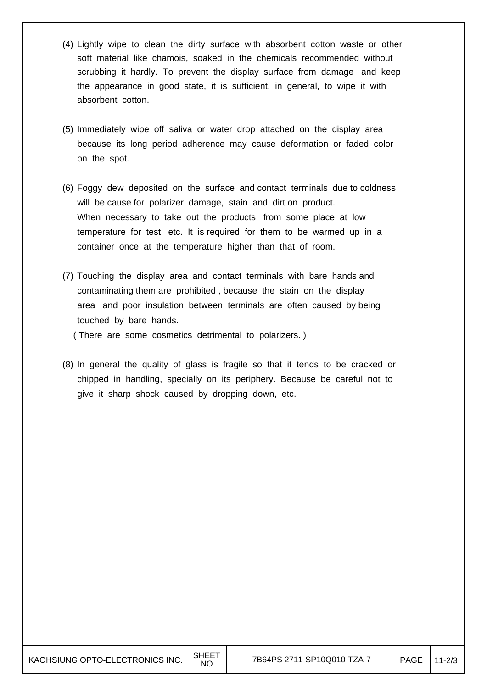- (4) Lightly wipe to clean the dirty surface with absorbent cotton waste or other soft material like chamois, soaked in the chemicals recommended without scrubbing it hardly. To prevent the display surface from damage and keep the appearance in good state, it is sufficient, in general, to wipe it with absorbent cotton.
- (5) Immediately wipe off saliva or water drop attached on the display area because its long period adherence may cause deformation or faded color on the spot.
- (6) Foggy dew deposited on the surface and contact terminals due to coldness will be cause for polarizer damage, stain and dirt on product. When necessary to take out the products from some place at low temperature for test, etc. It is required for them to be warmed up in a container once at the temperature higher than that of room.
- (7) Touching the display area and contact terminals with bare hands and contaminating them are prohibited , because the stain on the display area and poor insulation between terminals are often caused by being touched by bare hands.

( There are some cosmetics detrimental to polarizers. )

(8) In general the quality of glass is fragile so that it tends to be cracked or chipped in handling, specially on its periphery. Because be careful not to give it sharp shock caused by dropping down, etc.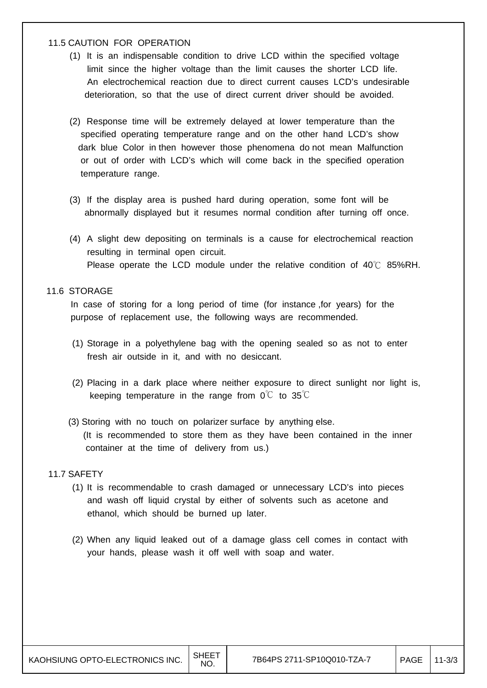#### 11.5 CAUTION FOR OPERATION

- (1) It is an indispensable condition to drive LCD within the specified voltage limit since the higher voltage than the limit causes the shorter LCD life. An electrochemical reaction due to direct current causes LCD's undesirable deterioration, so that the use of direct current driver should be avoided.
- (2) Response time will be extremely delayed at lower temperature than the specified operating temperature range and on the other hand LCD's show dark blue Color in then however those phenomena do not mean Malfunction or out of order with LCD's which will come back in the specified operation temperature range.
- (3) If the display area is pushed hard during operation, some font will be abnormally displayed but it resumes normal condition after turning off once.
- (4) A slight dew depositing on terminals is a cause for electrochemical reaction resulting in terminal open circuit. Please operate the LCD module under the relative condition of 40℃ 85%RH.

#### 11.6 STORAGE

 In case of storing for a long period of time (for instance ,for years) for the purpose of replacement use, the following ways are recommended.

- (1) Storage in a polyethylene bag with the opening sealed so as not to enter fresh air outside in it, and with no desiccant.
- (2) Placing in a dark place where neither exposure to direct sunlight nor light is, keeping temperature in the range from  $0^{\circ}C$  to  $35^{\circ}C$
- (3) Storing with no touch on polarizer surface by anything else. (It is recommended to store them as they have been contained in the inner container at the time of delivery from us.)

#### 11.7 SAFETY

- (1) It is recommendable to crash damaged or unnecessary LCD's into pieces and wash off liquid crystal by either of solvents such as acetone and ethanol, which should be burned up later.
- (2) When any liquid leaked out of a damage glass cell comes in contact with your hands, please wash it off well with soap and water.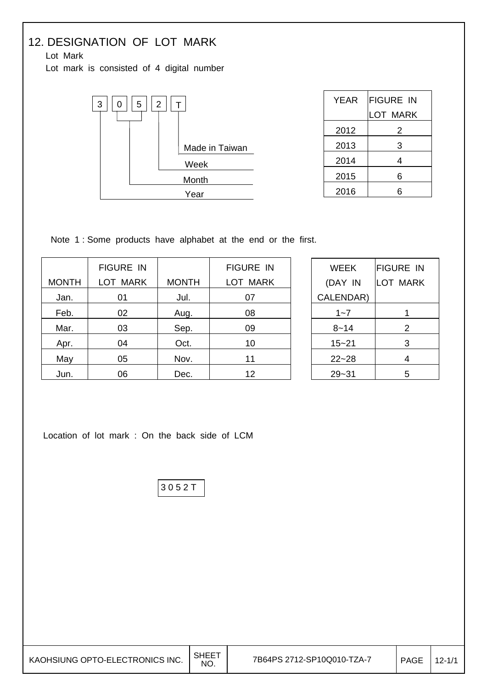# 12. DESIGNATION OF LOT MARK

Lot Mark

Lot mark is consisted of 4 digital number



| YEAR | <b>FIGURE IN</b> |
|------|------------------|
|      | LOT MARK         |
| 2012 | 2                |
| 2013 | 3                |
| 2014 | 4                |
| 2015 | 6                |
| 2016 | 6                |

Note 1 : Some products have alphabet at the end or the first.

|              | <b>FIGURE IN</b> |              | <b>FIGURE IN</b> |
|--------------|------------------|--------------|------------------|
| <b>MONTH</b> | LOT MARK         | <b>MONTH</b> | <b>LOT MARK</b>  |
| Jan.         | 01               | Jul.         | 07               |
| Feb.         | 02               | Aug.         | 08               |
| Mar.         | 03               | Sep.         | 09               |
| Apr.         | 04               | Oct.         | 10               |
| May          | 05               | Nov.         | 11               |
| Jun.         | 06               | Dec.         | 12               |

| <b>WEEK</b> | <b>FIGURE IN</b> |
|-------------|------------------|
| (DAY IN     | LOT MARK         |
| CALENDAR)   |                  |
| $1 - 7$     |                  |
| 8~14        | 2                |
| $15 - 21$   | 3                |
| $22 - 28$   | 4                |
| $29 - 31$   | 5                |

Location of lot mark : On the back side of LCM

3 0 5 2 T

| KAOHSIUNG OPTO-ELECTRONICS INC. | <b>SHEET</b><br>NO. | 7B64PS 2712-SP10Q010-TZA-7 | <b>PAGE</b> | $12 - 1/1$ |
|---------------------------------|---------------------|----------------------------|-------------|------------|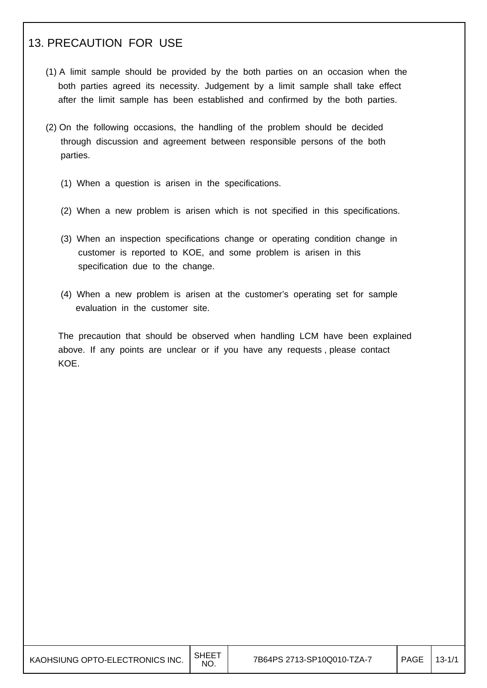## 13. PRECAUTION FOR USE

I

I

- (1) A limit sample should be provided by the both parties on an occasion when the both parties agreed its necessity. Judgement by a limit sample shall take effect after the limit sample has been established and confirmed by the both parties.
- (2) On the following occasions, the handling of the problem should be decided through discussion and agreement between responsible persons of the both parties.
	- (1) When a question is arisen in the specifications.
	- (2) When a new problem is arisen which is not specified in this specifications.
	- (3) When an inspection specifications change or operating condition change in customer is reported to KOE, and some problem is arisen in this specification due to the change.
	- (4) When a new problem is arisen at the customer's operating set for sample evaluation in the customer site.

 The precaution that should be observed when handling LCM have been explained above. If any points are unclear or if you have any requests , please contact KOE.

| KAOHSIUNG OPTO-ELECTRONICS INC. $\Big \!\!\big ^{\text{SHEET}}$ |  |
|-----------------------------------------------------------------|--|
|                                                                 |  |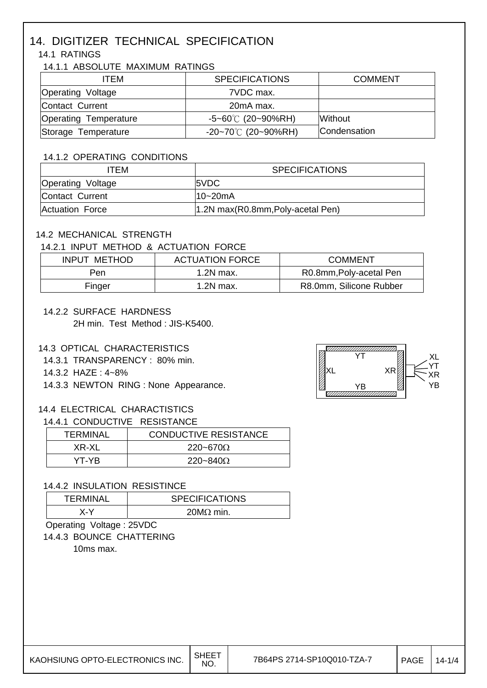# 14. DIGITIZER TECHNICAL SPECIFICATION

### 14.1 RATINGS

#### 14.1.1 ABSOLUTE MAXIMUM RATINGS

| ITEM                         | <b>SPECIFICATIONS</b>        | <b>COMMENT</b> |
|------------------------------|------------------------------|----------------|
| <b>Operating Voltage</b>     | 7VDC max.                    |                |
| Contact Current              | 20mA max.                    |                |
| <b>Operating Temperature</b> | $-5 - 60^{\circ}$ (20~90%RH) | <b>Without</b> |
| Storage Temperature          | $-20-70^{\circ}$ (20~90%RH)  | Condensation   |

#### 14.1.2 OPERATING CONDITIONS

| ITFM                     | <b>SPECIFICATIONS</b>             |
|--------------------------|-----------------------------------|
| <b>Operating Voltage</b> | 5VDC                              |
| Contact Current          | l10~20mA                          |
| Actuation Force          | 1.2N max(R0.8mm, Poly-acetal Pen) |

#### 14.2 MECHANICAL STRENGTH

#### 14.2.1 INPUT METHOD & ACTUATION FORCE

| INPUT METHOD | <b>ACTUATION FORCE</b> | <b>COMMENT</b>          |
|--------------|------------------------|-------------------------|
| Pen          | 1.2N max.              | R0.8mm, Poly-acetal Pen |
| Finger       | 1.2N max.              | R8.0mm, Silicone Rubber |

#### 14.2.2 SURFACE HARDNESS

2H min. Test Method : JIS-K5400.

#### 14.3 OPTICAL CHARACTERISTICS

- 14.3.1 TRANSPARENCY : 80% min.
- 14.3.2 HAZE : 4~8%
- 14.3.3 NEWTON RING : None Appearance.

#### 14.4 ELECTRICAL CHARACTISTICS

#### 14.4.1 CONDUCTIVE RESISTANCE

| TERMINAL | <b>CONDUCTIVE RESISTANCE</b> |
|----------|------------------------------|
| XR-XL    | $220 - 670\Omega$            |
| YT-YR.   | $220 - 840\Omega$            |

#### 14.4.2 INSULATION RESISTINCE

|                         | TFRMINAL | <b>SPECIFICATIONS</b> |
|-------------------------|----------|-----------------------|
| $20M\Omega$ min.<br>x-v |          |                       |

## Operating Voltage : 25VDC

14.4.3 BOUNCE CHATTERING

10ms max.

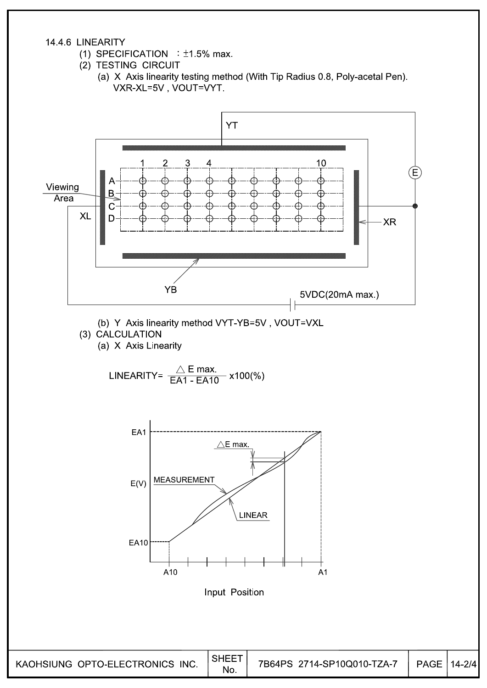#### 14.4.6 LINEARITY

- (1) SPECIFICATION :  $\pm$ 1.5% max.
- (2) TESTING CIRCUIT
	- (a) X Axis linearity testing method (With Tip Radius 0.8, Poly-acetal Pen). VXR-XL=5V, VOUT=VYT.

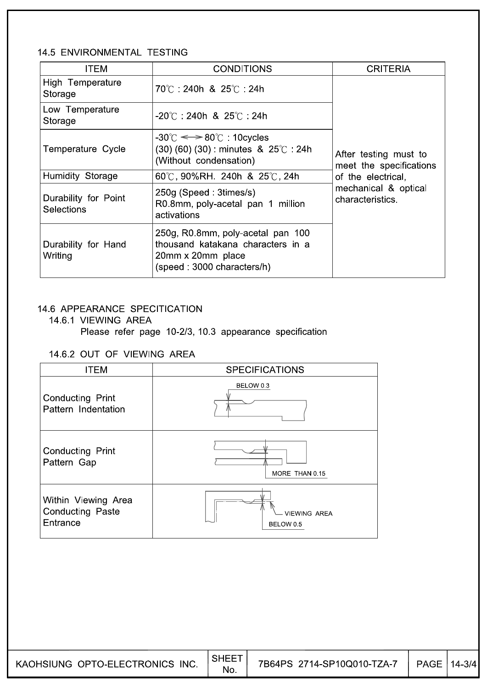#### 14.5 ENVIRONMENTAL TESTING

| <b>ITEM</b>                               | <b>CONDITIONS</b>                                                                                                                    | <b>CRITERIA</b>                                  |
|-------------------------------------------|--------------------------------------------------------------------------------------------------------------------------------------|--------------------------------------------------|
| High Temperature<br>Storage               | 70℃ 240h & 25℃ 24h                                                                                                                   |                                                  |
| Low Temperature<br>Storage                | $-20^{\circ}$ C 240h & 25 $^{\circ}$ C 24h                                                                                           |                                                  |
| Temperature Cycle                         | $-30^{\circ}$ C $\Longleftrightarrow$ 80 $^{\circ}$ C 10 cycles<br>$(30)$ (60) (30) : minutes & 25°C : 24h<br>(Without condensation) | After testing must to<br>meet the specifications |
| Humidity Storage                          | 60°C, 90%RH. 240h & 25°C, 24h                                                                                                        | of the electrical,                               |
| Durability for Point<br><b>Selections</b> | 250g (Speed: 3times/s)<br>R0.8mm, poly-acetal pan 1 million<br>activations                                                           | mechanical & optical<br>characteristics          |
| Durability for Hand<br>Writing            | 250g, R0.8mm, poly-acetal pan 100<br>thousand katakana characters in a<br>20mm x 20mm place<br>(speed: 3000 characters/h)            |                                                  |

### 14.6 APPEARANCE SPECITICATION

# 14.6.1 VIEWING AREA

Please refer page 10-2/3, 10.3 appearance specification

### 14.6.2 OUT OF VIEWING AREA

| <b>ITEM</b>                                         | <b>SPECIFICATIONS</b>            |  |  |
|-----------------------------------------------------|----------------------------------|--|--|
| <b>Conducting Print</b><br>Pattern Indentation      | BELOW 0.3                        |  |  |
| Conducting Print<br>Pattern Gap                     | MORE THAN 0.15                   |  |  |
| Within Viewing Area<br>Conducting Paste<br>Entrance | <b>VIEWING AREA</b><br>BELOW 0.5 |  |  |